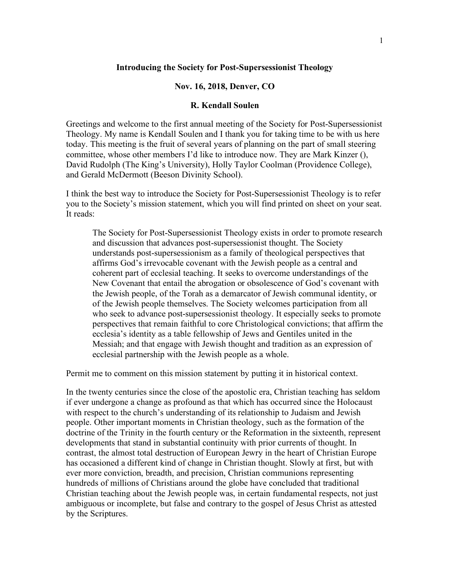## **Introducing the Society for Post-Supersessionist Theology**

## **Nov. 16, 2018, Denver, CO**

## **R. Kendall Soulen**

Greetings and welcome to the first annual meeting of the Society for Post-Supersessionist Theology. My name is Kendall Soulen and I thank you for taking time to be with us here today. This meeting is the fruit of several years of planning on the part of small steering committee, whose other members I'd like to introduce now. They are Mark Kinzer (), David Rudolph (The King's University), Holly Taylor Coolman (Providence College), and Gerald McDermott (Beeson Divinity School).

I think the best way to introduce the Society for Post-Supersessionist Theology is to refer you to the Society's mission statement, which you will find printed on sheet on your seat. It reads:

The Society for Post-Supersessionist Theology exists in order to promote research and discussion that advances post-supersessionist thought. The Society understands post-supersessionism as a family of theological perspectives that affirms God's irrevocable covenant with the Jewish people as a central and coherent part of ecclesial teaching. It seeks to overcome understandings of the New Covenant that entail the abrogation or obsolescence of God's covenant with the Jewish people, of the Torah as a demarcator of Jewish communal identity, or of the Jewish people themselves. The Society welcomes participation from all who seek to advance post-supersessionist theology. It especially seeks to promote perspectives that remain faithful to core Christological convictions; that affirm the ecclesia's identity as a table fellowship of Jews and Gentiles united in the Messiah; and that engage with Jewish thought and tradition as an expression of ecclesial partnership with the Jewish people as a whole.

Permit me to comment on this mission statement by putting it in historical context.

In the twenty centuries since the close of the apostolic era, Christian teaching has seldom if ever undergone a change as profound as that which has occurred since the Holocaust with respect to the church's understanding of its relationship to Judaism and Jewish people. Other important moments in Christian theology, such as the formation of the doctrine of the Trinity in the fourth century or the Reformation in the sixteenth, represent developments that stand in substantial continuity with prior currents of thought. In contrast, the almost total destruction of European Jewry in the heart of Christian Europe has occasioned a different kind of change in Christian thought. Slowly at first, but with ever more conviction, breadth, and precision, Christian communions representing hundreds of millions of Christians around the globe have concluded that traditional Christian teaching about the Jewish people was, in certain fundamental respects, not just ambiguous or incomplete, but false and contrary to the gospel of Jesus Christ as attested by the Scriptures.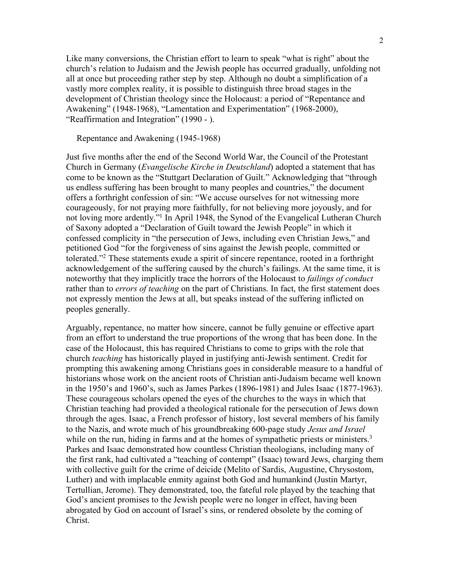Like many conversions, the Christian effort to learn to speak "what is right" about the church's relation to Judaism and the Jewish people has occurred gradually, unfolding not all at once but proceeding rather step by step. Although no doubt a simplification of a vastly more complex reality, it is possible to distinguish three broad stages in the development of Christian theology since the Holocaust: a period of "Repentance and Awakening" (1948-1968), "Lamentation and Experimentation" (1968-2000), "Reaffirmation and Integration" (1990 - ).

Repentance and Awakening (1945-1968)

Just five months after the end of the Second World War, the Council of the Protestant Church in Germany (*Evangelische Kirche in Deutschland*) adopted a statement that has come to be known as the "Stuttgart Declaration of Guilt." Acknowledging that "through us endless suffering has been brought to many peoples and countries," the document offers a forthright confession of sin: "We accuse ourselves for not witnessing more courageously, for not praying more faithfully, for not believing more joyously, and for not loving more ardently."<sup>1</sup> In April 1948, the Synod of the Evangelical Lutheran Church of Saxony adopted a "Declaration of Guilt toward the Jewish People" in which it confessed complicity in "the persecution of Jews, including even Christian Jews," and petitioned God "for the forgiveness of sins against the Jewish people, committed or tolerated."2 These statements exude a spirit of sincere repentance, rooted in a forthright acknowledgement of the suffering caused by the church's failings. At the same time, it is noteworthy that they implicitly trace the horrors of the Holocaust to *failings of conduct*  rather than to *errors of teaching* on the part of Christians. In fact, the first statement does not expressly mention the Jews at all, but speaks instead of the suffering inflicted on peoples generally.

Arguably, repentance, no matter how sincere, cannot be fully genuine or effective apart from an effort to understand the true proportions of the wrong that has been done. In the case of the Holocaust, this has required Christians to come to grips with the role that church *teaching* has historically played in justifying anti-Jewish sentiment. Credit for prompting this awakening among Christians goes in considerable measure to a handful of historians whose work on the ancient roots of Christian anti-Judaism became well known in the 1950's and 1960's, such as James Parkes (1896-1981) and Jules Isaac (1877-1963). These courageous scholars opened the eyes of the churches to the ways in which that Christian teaching had provided a theological rationale for the persecution of Jews down through the ages. Isaac, a French professor of history, lost several members of his family to the Nazis, and wrote much of his groundbreaking 600-page study *Jesus and Israel* while on the run, hiding in farms and at the homes of sympathetic priests or ministers.<sup>3</sup> Parkes and Isaac demonstrated how countless Christian theologians, including many of the first rank, had cultivated a "teaching of contempt" (Isaac) toward Jews, charging them with collective guilt for the crime of deicide (Melito of Sardis, Augustine, Chrysostom, Luther) and with implacable enmity against both God and humankind (Justin Martyr, Tertullian, Jerome). They demonstrated, too, the fateful role played by the teaching that God's ancient promises to the Jewish people were no longer in effect, having been abrogated by God on account of Israel's sins, or rendered obsolete by the coming of Christ.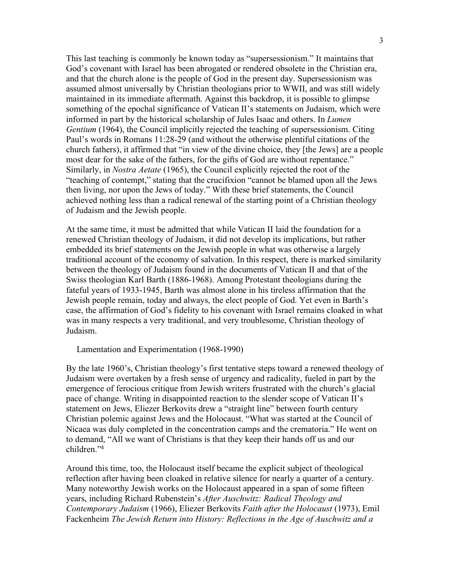This last teaching is commonly be known today as "supersessionism." It maintains that God's covenant with Israel has been abrogated or rendered obsolete in the Christian era, and that the church alone is the people of God in the present day. Supersessionism was assumed almost universally by Christian theologians prior to WWII, and was still widely maintained in its immediate aftermath. Against this backdrop, it is possible to glimpse something of the epochal significance of Vatican II's statements on Judaism, which were informed in part by the historical scholarship of Jules Isaac and others. In *Lumen Gentium* (1964), the Council implicitly rejected the teaching of supersessionism. Citing Paul's words in Romans 11:28-29 (and without the otherwise plentiful citations of the church fathers), it affirmed that "in view of the divine choice, they [the Jews] are a people most dear for the sake of the fathers, for the gifts of God are without repentance." Similarly, in *Nostra Aetate* (1965), the Council explicitly rejected the root of the "teaching of contempt," stating that the crucifixion "cannot be blamed upon all the Jews then living, nor upon the Jews of today." With these brief statements, the Council achieved nothing less than a radical renewal of the starting point of a Christian theology of Judaism and the Jewish people.

At the same time, it must be admitted that while Vatican II laid the foundation for a renewed Christian theology of Judaism, it did not develop its implications, but rather embedded its brief statements on the Jewish people in what was otherwise a largely traditional account of the economy of salvation. In this respect, there is marked similarity between the theology of Judaism found in the documents of Vatican II and that of the Swiss theologian Karl Barth (1886-1968). Among Protestant theologians during the fateful years of 1933-1945, Barth was almost alone in his tireless affirmation that the Jewish people remain, today and always, the elect people of God. Yet even in Barth's case, the affirmation of God's fidelity to his covenant with Israel remains cloaked in what was in many respects a very traditional, and very troublesome, Christian theology of Judaism.

Lamentation and Experimentation (1968-1990)

By the late 1960's, Christian theology's first tentative steps toward a renewed theology of Judaism were overtaken by a fresh sense of urgency and radicality, fueled in part by the emergence of ferocious critique from Jewish writers frustrated with the church's glacial pace of change. Writing in disappointed reaction to the slender scope of Vatican II's statement on Jews, Eliezer Berkovits drew a "straight line" between fourth century Christian polemic against Jews and the Holocaust. "What was started at the Council of Nicaea was duly completed in the concentration camps and the crematoria." He went on to demand, "All we want of Christians is that they keep their hands off us and our children<sup>"4</sup>

Around this time, too, the Holocaust itself became the explicit subject of theological reflection after having been cloaked in relative silence for nearly a quarter of a century. Many noteworthy Jewish works on the Holocaust appeared in a span of some fifteen years, including Richard Rubenstein's *After Auschwitz: Radical Theology and Contemporary Judaism* (1966), Eliezer Berkovits *Faith after the Holocaust* (1973), Emil Fackenheim *The Jewish Return into History: Reflections in the Age of Auschwitz and a*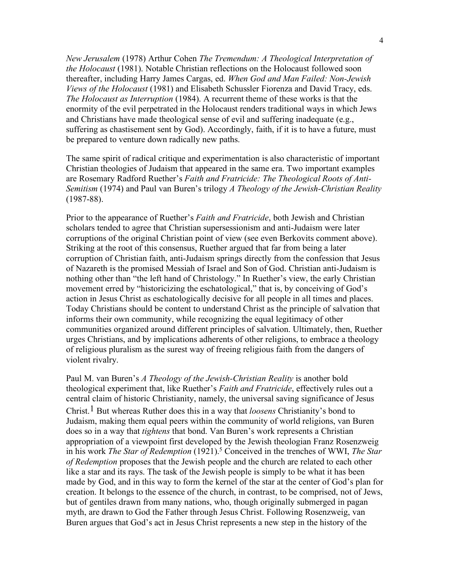*New Jerusalem* (1978) Arthur Cohen *The Tremendum: A Theological Interpretation of the Holocaust* (1981). Notable Christian reflections on the Holocaust followed soon thereafter, including Harry James Cargas, ed. *When God and Man Failed: Non-Jewish Views of the Holocaust* (1981) and Elisabeth Schussler Fiorenza and David Tracy, eds. *The Holocaust as Interruption* (1984). A recurrent theme of these works is that the enormity of the evil perpetrated in the Holocaust renders traditional ways in which Jews and Christians have made theological sense of evil and suffering inadequate (e.g., suffering as chastisement sent by God). Accordingly, faith, if it is to have a future, must be prepared to venture down radically new paths.

The same spirit of radical critique and experimentation is also characteristic of important Christian theologies of Judaism that appeared in the same era. Two important examples are Rosemary Radford Ruether's *Faith and Fratricide: The Theological Roots of Anti-Semitism* (1974) and Paul van Buren's trilogy *A Theology of the Jewish-Christian Reality*  (1987-88).

Prior to the appearance of Ruether's *Faith and Fratricide*, both Jewish and Christian scholars tended to agree that Christian supersessionism and anti-Judaism were later corruptions of the original Christian point of view (see even Berkovits comment above). Striking at the root of this consensus, Ruether argued that far from being a later corruption of Christian faith, anti-Judaism springs directly from the confession that Jesus of Nazareth is the promised Messiah of Israel and Son of God. Christian anti-Judaism is nothing other than "the left hand of Christology." In Ruether's view, the early Christian movement erred by "historicizing the eschatological," that is, by conceiving of God's action in Jesus Christ as eschatologically decisive for all people in all times and places. Today Christians should be content to understand Christ as the principle of salvation that informs their own community, while recognizing the equal legitimacy of other communities organized around different principles of salvation. Ultimately, then, Ruether urges Christians, and by implications adherents of other religions, to embrace a theology of religious pluralism as the surest way of freeing religious faith from the dangers of violent rivalry.

Paul M. van Buren's *A Theology of the Jewish-Christian Reality* is another bold theological experiment that, like Ruether's *Faith and Fratricide*, effectively rules out a central claim of historic Christianity, namely, the universal saving significance of Jesus Christ.1 But whereas Ruther does this in a way that *loosens* Christianity's bond to Judaism, making them equal peers within the community of world religions, van Buren does so in a way that *tightens* that bond. Van Buren's work represents a Christian appropriation of a viewpoint first developed by the Jewish theologian Franz Rosenzweig in his work *The Star of Redemption* (1921). <sup>5</sup> Conceived in the trenches of WWI, *The Star of Redemption* proposes that the Jewish people and the church are related to each other like a star and its rays. The task of the Jewish people is simply to be what it has been made by God, and in this way to form the kernel of the star at the center of God's plan for creation. It belongs to the essence of the church, in contrast, to be comprised, not of Jews, but of gentiles drawn from many nations, who, though originally submerged in pagan myth, are drawn to God the Father through Jesus Christ. Following Rosenzweig, van Buren argues that God's act in Jesus Christ represents a new step in the history of the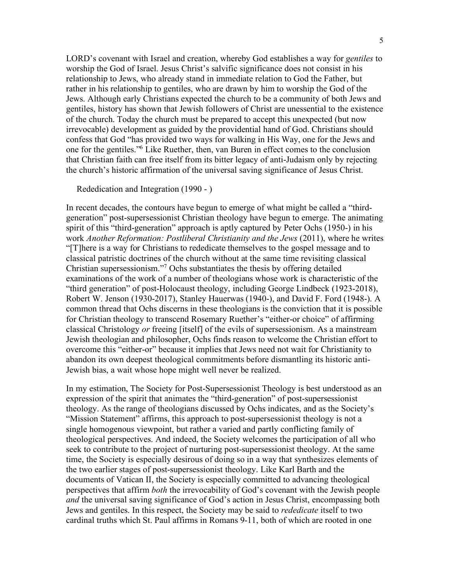LORD's covenant with Israel and creation, whereby God establishes a way for *gentiles* to worship the God of Israel. Jesus Christ's salvific significance does not consist in his relationship to Jews, who already stand in immediate relation to God the Father, but rather in his relationship to gentiles, who are drawn by him to worship the God of the Jews. Although early Christians expected the church to be a community of both Jews and gentiles, history has shown that Jewish followers of Christ are unessential to the existence of the church. Today the church must be prepared to accept this unexpected (but now irrevocable) development as guided by the providential hand of God. Christians should confess that God "has provided two ways for walking in His Way, one for the Jews and one for the gentiles."6 Like Ruether, then, van Buren in effect comes to the conclusion that Christian faith can free itself from its bitter legacy of anti-Judaism only by rejecting the church's historic affirmation of the universal saving significance of Jesus Christ.

Rededication and Integration (1990 - )

In recent decades, the contours have begun to emerge of what might be called a "thirdgeneration" post-supersessionist Christian theology have begun to emerge. The animating spirit of this "third-generation" approach is aptly captured by Peter Ochs (1950-) in his work *Another Reformation: Postliberal Christianity and the Jews* (2011), where he writes "[T]here is a way for Christians to rededicate themselves to the gospel message and to classical patristic doctrines of the church without at the same time revisiting classical Christian supersessionism."7 Ochs substantiates the thesis by offering detailed examinations of the work of a number of theologians whose work is characteristic of the "third generation" of post-Holocaust theology, including George Lindbeck (1923-2018), Robert W. Jenson (1930-2017), Stanley Hauerwas (1940-), and David F. Ford (1948-). A common thread that Ochs discerns in these theologians is the conviction that it is possible for Christian theology to transcend Rosemary Ruether's "either-or choice" of affirming classical Christology *or* freeing [itself] of the evils of supersessionism. As a mainstream Jewish theologian and philosopher, Ochs finds reason to welcome the Christian effort to overcome this "either-or" because it implies that Jews need not wait for Christianity to abandon its own deepest theological commitments before dismantling its historic anti-Jewish bias, a wait whose hope might well never be realized.

In my estimation, The Society for Post-Supersessionist Theology is best understood as an expression of the spirit that animates the "third-generation" of post-supersessionist theology. As the range of theologians discussed by Ochs indicates, and as the Society's "Mission Statement" affirms, this approach to post-supersessionist theology is not a single homogenous viewpoint, but rather a varied and partly conflicting family of theological perspectives. And indeed, the Society welcomes the participation of all who seek to contribute to the project of nurturing post-supersessionist theology. At the same time, the Society is especially desirous of doing so in a way that synthesizes elements of the two earlier stages of post-supersessionist theology. Like Karl Barth and the documents of Vatican II, the Society is especially committed to advancing theological perspectives that affirm *both* the irrevocability of God's covenant with the Jewish people *and* the universal saving significance of God's action in Jesus Christ, encompassing both Jews and gentiles. In this respect, the Society may be said to *rededicate* itself to two cardinal truths which St. Paul affirms in Romans 9-11, both of which are rooted in one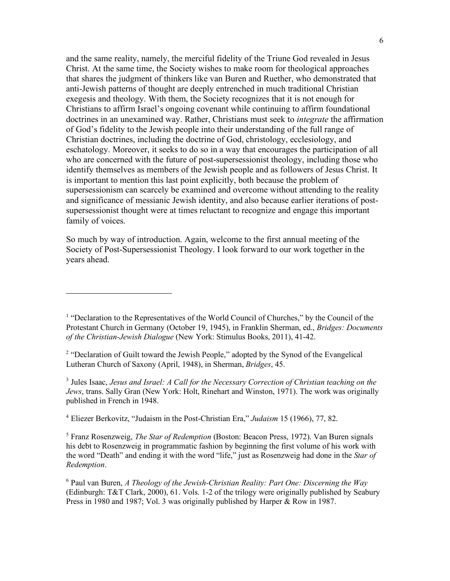and the same reality, namely, the merciful fidelity of the Triune God revealed in Jesus Christ. At the same time, the Society wishes to make room for theological approaches that shares the judgment of thinkers like van Buren and Ruether, who demonstrated that anti-Jewish patterns of thought are deeply entrenched in much traditional Christian exegesis and theology. With them, the Society recognizes that it is not enough for Christians to affirm Israel's ongoing covenant while continuing to affirm foundational doctrines in an unexamined way. Rather, Christians must seek to *integrate* the affirmation of God's fidelity to the Jewish people into their understanding of the full range of Christian doctrines, including the doctrine of God, christology, ecclesiology, and eschatology. Moreover, it seeks to do so in a way that encourages the participation of all who are concerned with the future of post-supersessionist theology, including those who identify themselves as members of the Jewish people and as followers of Jesus Christ. It is important to mention this last point explicitly, both because the problem of supersessionism can scarcely be examined and overcome without attending to the reality and significance of messianic Jewish identity, and also because earlier iterations of postsupersessionist thought were at times reluctant to recognize and engage this important family of voices.

So much by way of introduction. Again, welcome to the first annual meeting of the Society of Post-Supersessionist Theology. I look forward to our work together in the years ahead.

 $\overline{a}$ 

<sup>3</sup> Jules Isaac, *Jesus and Israel: A Call for the Necessary Correction of Christian teaching on the Jews*, trans. Sally Gran (New York: Holt, Rinehart and Winston, 1971). The work was originally published in French in 1948.

<sup>4</sup> Eliezer Berkovitz, "Judaism in the Post-Christian Era," *Judaism* 15 (1966), 77, 82.

<sup>5</sup> Franz Rosenzweig, *The Star of Redemption* (Boston: Beacon Press, 1972). Van Buren signals his debt to Rosenzweig in programmatic fashion by beginning the first volume of his work with the word "Death" and ending it with the word "life," just as Rosenzweig had done in the *Star of Redemption*.

<sup>6</sup> Paul van Buren, *A Theology of the Jewish-Christian Reality: Part One: Discerning the Way* (Edinburgh: T&T Clark, 2000), 61. Vols. 1-2 of the trilogy were originally published by Seabury Press in 1980 and 1987; Vol. 3 was originally published by Harper & Row in 1987.

<sup>&</sup>lt;sup>1</sup> "Declaration to the Representatives of the World Council of Churches," by the Council of the Protestant Church in Germany (October 19, 1945), in Franklin Sherman, ed., *Bridges: Documents of the Christian-Jewish Dialogue* (New York: Stimulus Books, 2011), 41-42.

<sup>&</sup>lt;sup>2</sup> "Declaration of Guilt toward the Jewish People," adopted by the Synod of the Evangelical Lutheran Church of Saxony (April, 1948), in Sherman, *Bridges*, 45.